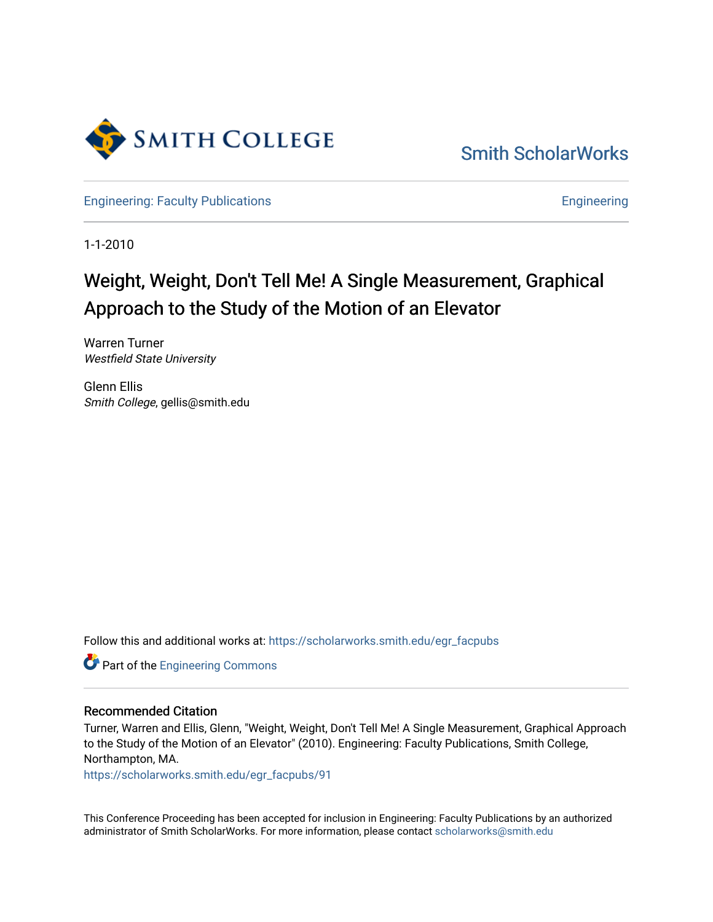

[Smith ScholarWorks](https://scholarworks.smith.edu/) 

[Engineering: Faculty Publications](https://scholarworks.smith.edu/egr_facpubs) **Engineering** 

1-1-2010

# Weight, Weight, Don't Tell Me! A Single Measurement, Graphical Approach to the Study of the Motion of an Elevator

Warren Turner Westfield State University

Glenn Ellis Smith College, gellis@smith.edu

Follow this and additional works at: [https://scholarworks.smith.edu/egr\\_facpubs](https://scholarworks.smith.edu/egr_facpubs?utm_source=scholarworks.smith.edu%2Fegr_facpubs%2F91&utm_medium=PDF&utm_campaign=PDFCoverPages) 

**Part of the [Engineering Commons](http://network.bepress.com/hgg/discipline/217?utm_source=scholarworks.smith.edu%2Fegr_facpubs%2F91&utm_medium=PDF&utm_campaign=PDFCoverPages)** 

#### Recommended Citation

Turner, Warren and Ellis, Glenn, "Weight, Weight, Don't Tell Me! A Single Measurement, Graphical Approach to the Study of the Motion of an Elevator" (2010). Engineering: Faculty Publications, Smith College, Northampton, MA.

[https://scholarworks.smith.edu/egr\\_facpubs/91](https://scholarworks.smith.edu/egr_facpubs/91?utm_source=scholarworks.smith.edu%2Fegr_facpubs%2F91&utm_medium=PDF&utm_campaign=PDFCoverPages)

This Conference Proceeding has been accepted for inclusion in Engineering: Faculty Publications by an authorized administrator of Smith ScholarWorks. For more information, please contact [scholarworks@smith.edu](mailto:scholarworks@smith.edu)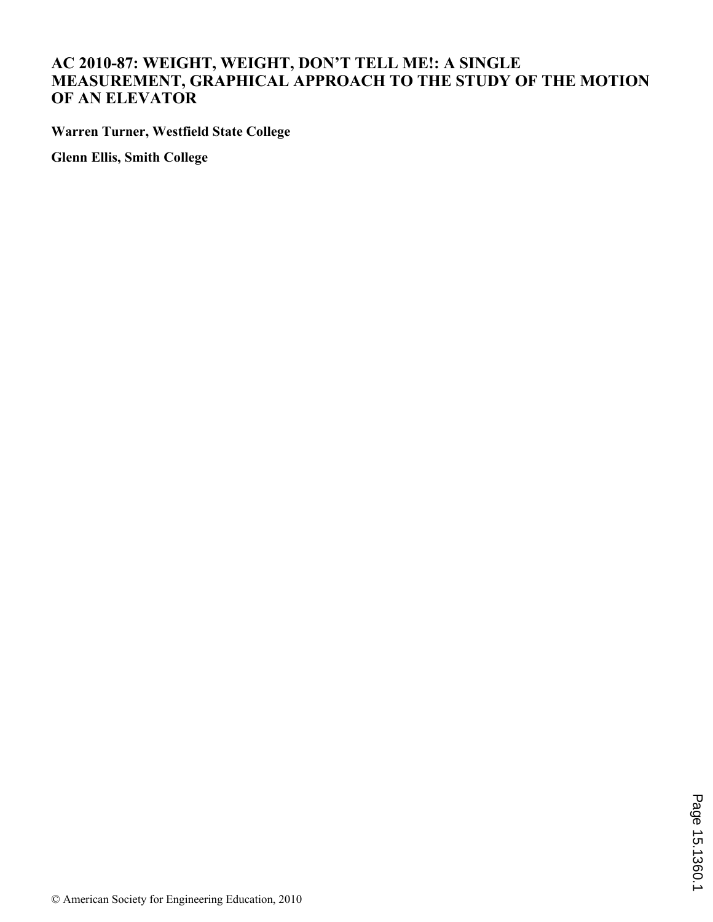## **AC 2010-87: WEIGHT, WEIGHT, DON'T TELL ME!: A SINGLE MEASUREMENT, GRAPHICAL APPROACH TO THE STUDY OF THE MOTION OF AN ELEVATOR**

**Warren Turner, Westfield State College**

**Glenn Ellis, Smith College**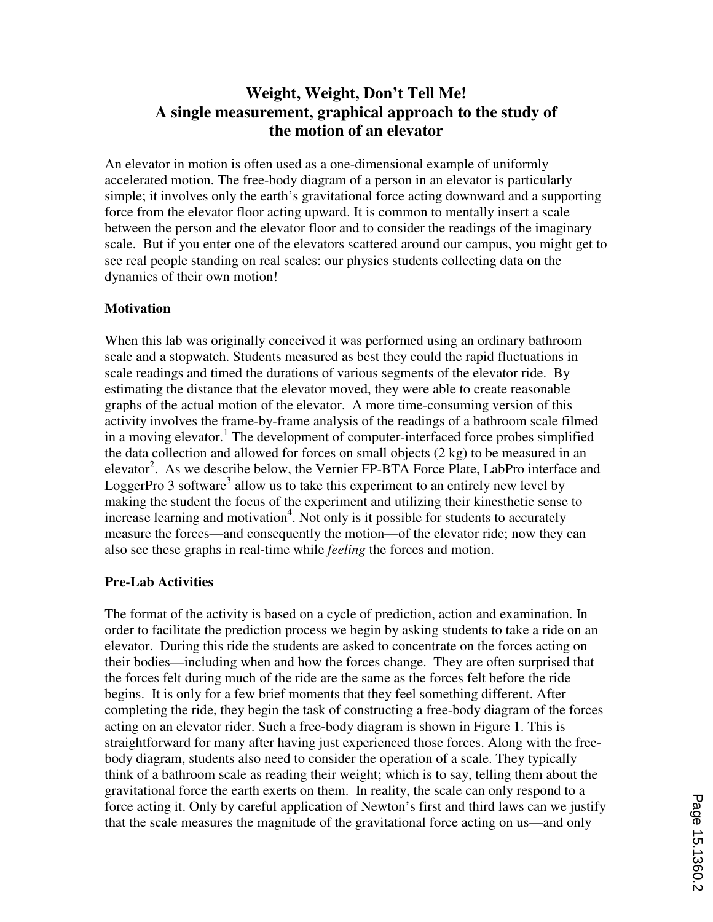# **Weight, Weight, Don't Tell Me! A single measurement, graphical approach to the study of the motion of an elevator**

An elevator in motion is often used as a one-dimensional example of uniformly accelerated motion. The free-body diagram of a person in an elevator is particularly simple; it involves only the earth's gravitational force acting downward and a supporting force from the elevator floor acting upward. It is common to mentally insert a scale between the person and the elevator floor and to consider the readings of the imaginary scale. But if you enter one of the elevators scattered around our campus, you might get to see real people standing on real scales: our physics students collecting data on the dynamics of their own motion!

#### **Motivation**

When this lab was originally conceived it was performed using an ordinary bathroom scale and a stopwatch. Students measured as best they could the rapid fluctuations in scale readings and timed the durations of various segments of the elevator ride. By estimating the distance that the elevator moved, they were able to create reasonable graphs of the actual motion of the elevator. A more time-consuming version of this activity involves the frame-by-frame analysis of the readings of a bathroom scale filmed in a moving elevator.<sup>1</sup> The development of computer-interfaced force probes simplified the data collection and allowed for forces on small objects (2 kg) to be measured in an elevator<sup>2</sup>. As we describe below, the Vernier FP-BTA Force Plate, LabPro interface and LoggerPro 3 software<sup>3</sup> allow us to take this experiment to an entirely new level by making the student the focus of the experiment and utilizing their kinesthetic sense to increase learning and motivation<sup>4</sup>. Not only is it possible for students to accurately measure the forces—and consequently the motion—of the elevator ride; now they can also see these graphs in real-time while *feeling* the forces and motion.

### **Pre-Lab Activities**

The format of the activity is based on a cycle of prediction, action and examination. In order to facilitate the prediction process we begin by asking students to take a ride on an elevator. During this ride the students are asked to concentrate on the forces acting on their bodies—including when and how the forces change. They are often surprised that the forces felt during much of the ride are the same as the forces felt before the ride begins. It is only for a few brief moments that they feel something different. After completing the ride, they begin the task of constructing a free-body diagram of the forces acting on an elevator rider. Such a free-body diagram is shown in Figure 1. This is straightforward for many after having just experienced those forces. Along with the freebody diagram, students also need to consider the operation of a scale. They typically think of a bathroom scale as reading their weight; which is to say, telling them about the gravitational force the earth exerts on them. In reality, the scale can only respond to a force acting it. Only by careful application of Newton's first and third laws can we justify that the scale measures the magnitude of the gravitational force acting on us—and only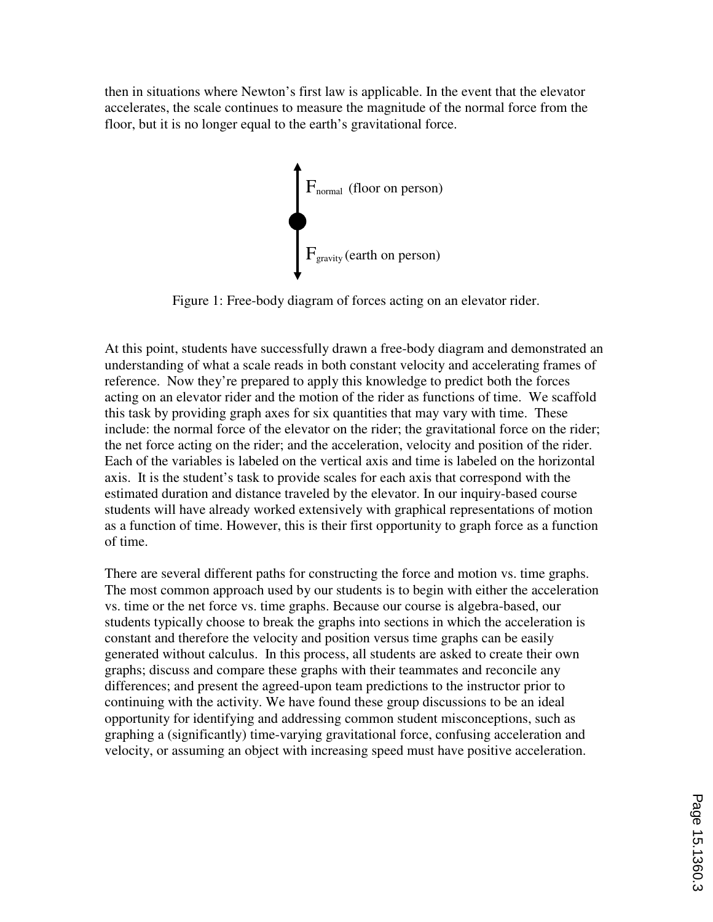then in situations where Newton's first law is applicable. In the event that the elevator accelerates, the scale continues to measure the magnitude of the normal force from the floor, but it is no longer equal to the earth's gravitational force.



Figure 1: Free-body diagram of forces acting on an elevator rider.

At this point, students have successfully drawn a free-body diagram and demonstrated an understanding of what a scale reads in both constant velocity and accelerating frames of reference. Now they're prepared to apply this knowledge to predict both the forces acting on an elevator rider and the motion of the rider as functions of time. We scaffold this task by providing graph axes for six quantities that may vary with time. These include: the normal force of the elevator on the rider; the gravitational force on the rider; the net force acting on the rider; and the acceleration, velocity and position of the rider. Each of the variables is labeled on the vertical axis and time is labeled on the horizontal axis. It is the student's task to provide scales for each axis that correspond with the estimated duration and distance traveled by the elevator. In our inquiry-based course students will have already worked extensively with graphical representations of motion as a function of time. However, this is their first opportunity to graph force as a function of time.

There are several different paths for constructing the force and motion vs. time graphs. The most common approach used by our students is to begin with either the acceleration vs. time or the net force vs. time graphs. Because our course is algebra-based, our students typically choose to break the graphs into sections in which the acceleration is constant and therefore the velocity and position versus time graphs can be easily generated without calculus. In this process, all students are asked to create their own graphs; discuss and compare these graphs with their teammates and reconcile any differences; and present the agreed-upon team predictions to the instructor prior to continuing with the activity. We have found these group discussions to be an ideal opportunity for identifying and addressing common student misconceptions, such as graphing a (significantly) time-varying gravitational force, confusing acceleration and velocity, or assuming an object with increasing speed must have positive acceleration.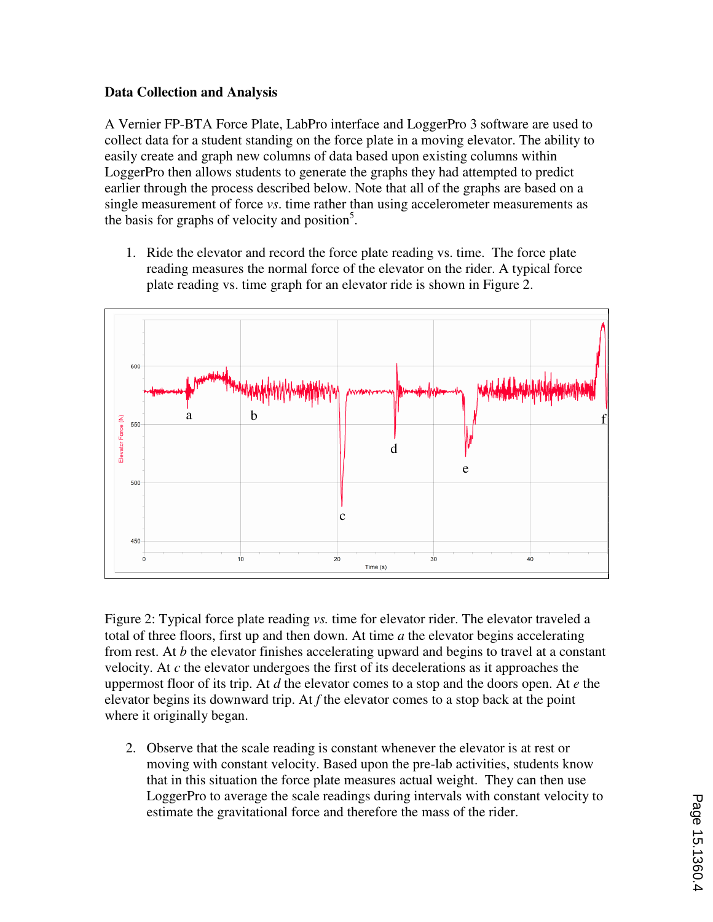## **Data Collection and Analysis**

A Vernier FP-BTA Force Plate, LabPro interface and LoggerPro 3 software are used to collect data for a student standing on the force plate in a moving elevator. The ability to easily create and graph new columns of data based upon existing columns within LoggerPro then allows students to generate the graphs they had attempted to predict earlier through the process described below. Note that all of the graphs are based on a single measurement of force *vs*. time rather than using accelerometer measurements as the basis for graphs of velocity and position<sup>5</sup>.

1. Ride the elevator and record the force plate reading vs. time. The force plate reading measures the normal force of the elevator on the rider. A typical force plate reading vs. time graph for an elevator ride is shown in Figure 2.



Figure 2: Typical force plate reading *vs.* time for elevator rider. The elevator traveled a total of three floors, first up and then down. At time *a* the elevator begins accelerating from rest. At *b* the elevator finishes accelerating upward and begins to travel at a constant velocity. At *c* the elevator undergoes the first of its decelerations as it approaches the uppermost floor of its trip. At *d* the elevator comes to a stop and the doors open. At *e* the elevator begins its downward trip. At *f* the elevator comes to a stop back at the point where it originally began.

2. Observe that the scale reading is constant whenever the elevator is at rest or moving with constant velocity. Based upon the pre-lab activities, students know that in this situation the force plate measures actual weight. They can then use LoggerPro to average the scale readings during intervals with constant velocity to estimate the gravitational force and therefore the mass of the rider.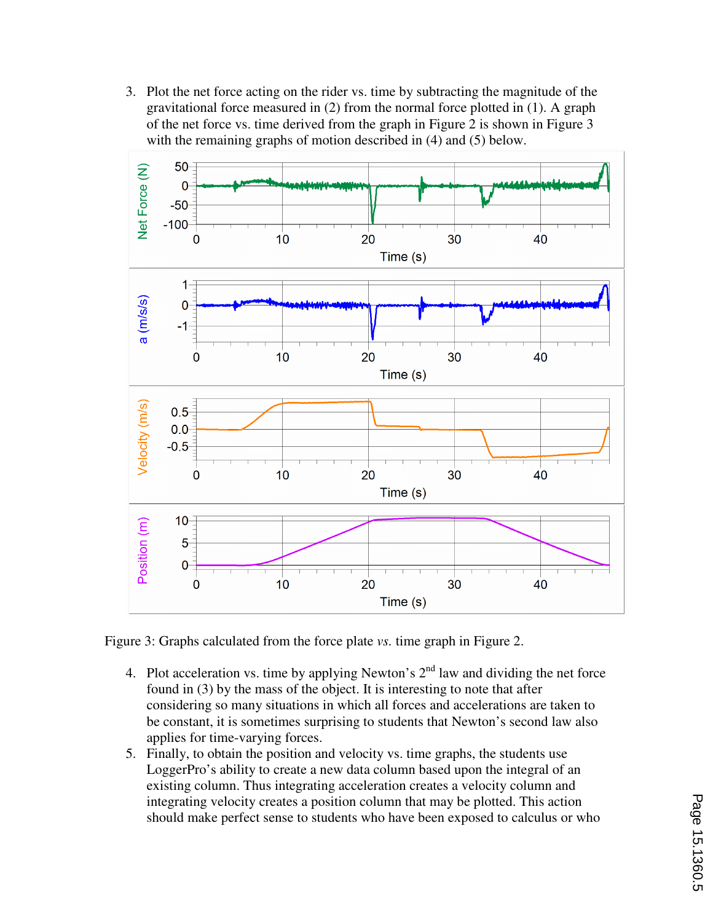3. Plot the net force acting on the rider vs. time by subtracting the magnitude of the gravitational force measured in (2) from the normal force plotted in (1). A graph of the net force vs. time derived from the graph in Figure 2 is shown in Figure 3 with the remaining graphs of motion described in (4) and (5) below.



Figure 3: Graphs calculated from the force plate *vs.* time graph in Figure 2.

- 4. Plot acceleration vs. time by applying Newton's  $2<sup>nd</sup>$  law and dividing the net force found in (3) by the mass of the object. It is interesting to note that after considering so many situations in which all forces and accelerations are taken to be constant, it is sometimes surprising to students that Newton's second law also applies for time-varying forces.
- 5. Finally, to obtain the position and velocity vs. time graphs, the students use LoggerPro's ability to create a new data column based upon the integral of an existing column. Thus integrating acceleration creates a velocity column and integrating velocity creates a position column that may be plotted. This action should make perfect sense to students who have been exposed to calculus or who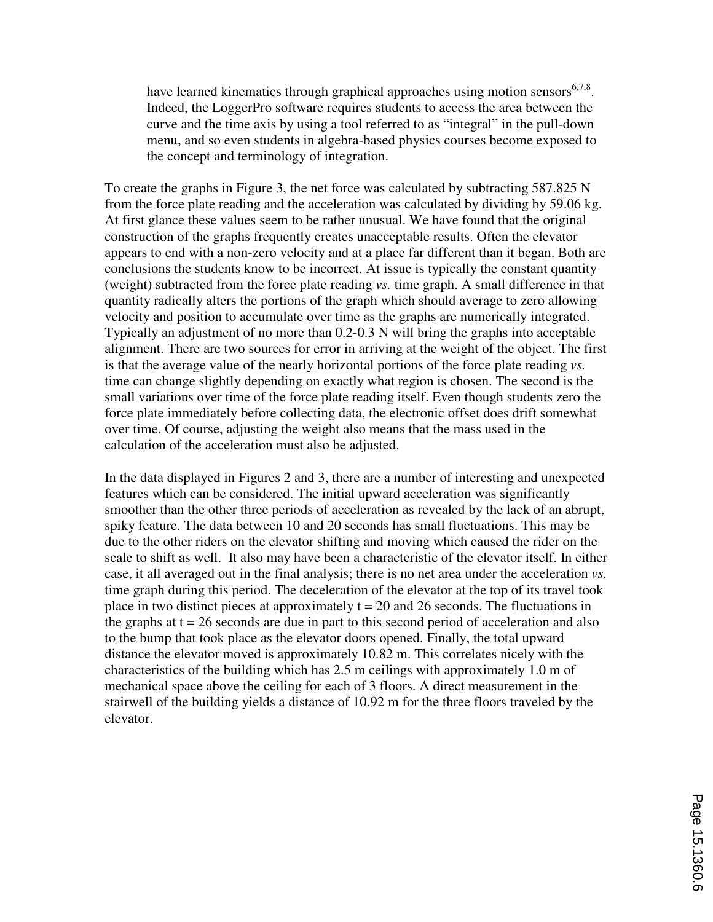have learned kinematics through graphical approaches using motion sensors  $6,7,8$ . Indeed, the LoggerPro software requires students to access the area between the curve and the time axis by using a tool referred to as "integral" in the pull-down menu, and so even students in algebra-based physics courses become exposed to the concept and terminology of integration.

To create the graphs in Figure 3, the net force was calculated by subtracting 587.825 N from the force plate reading and the acceleration was calculated by dividing by 59.06 kg. At first glance these values seem to be rather unusual. We have found that the original construction of the graphs frequently creates unacceptable results. Often the elevator appears to end with a non-zero velocity and at a place far different than it began. Both are conclusions the students know to be incorrect. At issue is typically the constant quantity (weight) subtracted from the force plate reading *vs.* time graph. A small difference in that quantity radically alters the portions of the graph which should average to zero allowing velocity and position to accumulate over time as the graphs are numerically integrated. Typically an adjustment of no more than 0.2-0.3 N will bring the graphs into acceptable alignment. There are two sources for error in arriving at the weight of the object. The first is that the average value of the nearly horizontal portions of the force plate reading *vs.* time can change slightly depending on exactly what region is chosen. The second is the small variations over time of the force plate reading itself. Even though students zero the force plate immediately before collecting data, the electronic offset does drift somewhat over time. Of course, adjusting the weight also means that the mass used in the calculation of the acceleration must also be adjusted.

In the data displayed in Figures 2 and 3, there are a number of interesting and unexpected features which can be considered. The initial upward acceleration was significantly smoother than the other three periods of acceleration as revealed by the lack of an abrupt, spiky feature. The data between 10 and 20 seconds has small fluctuations. This may be due to the other riders on the elevator shifting and moving which caused the rider on the scale to shift as well. It also may have been a characteristic of the elevator itself. In either case, it all averaged out in the final analysis; there is no net area under the acceleration *vs.* time graph during this period. The deceleration of the elevator at the top of its travel took place in two distinct pieces at approximately  $t = 20$  and 26 seconds. The fluctuations in the graphs at  $t = 26$  seconds are due in part to this second period of acceleration and also to the bump that took place as the elevator doors opened. Finally, the total upward distance the elevator moved is approximately 10.82 m. This correlates nicely with the characteristics of the building which has 2.5 m ceilings with approximately 1.0 m of mechanical space above the ceiling for each of 3 floors. A direct measurement in the stairwell of the building yields a distance of 10.92 m for the three floors traveled by the elevator.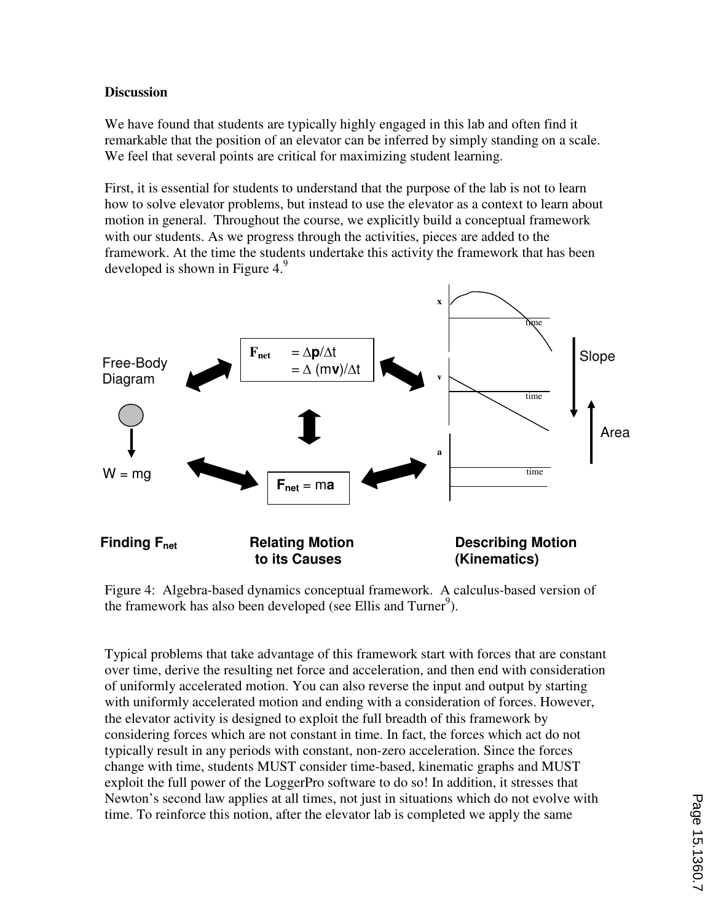#### **Discussion**

We have found that students are typically highly engaged in this lab and often find it remarkable that the position of an elevator can be inferred by simply standing on a scale. We feel that several points are critical for maximizing student learning.

First, it is essential for students to understand that the purpose of the lab is not to learn how to solve elevator problems, but instead to use the elevator as a context to learn about motion in general. Throughout the course, we explicitly build a conceptual framework with our students. As we progress through the activities, pieces are added to the framework. At the time the students undertake this activity the framework that has been developed is shown in Figure 4. $9$ 



Figure 4: Algebra-based dynamics conceptual framework. A calculus-based version of the framework has also been developed (see Ellis and Turner<sup>9</sup>).

Typical problems that take advantage of this framework start with forces that are constant over time, derive the resulting net force and acceleration, and then end with consideration of uniformly accelerated motion. You can also reverse the input and output by starting with uniformly accelerated motion and ending with a consideration of forces. However, the elevator activity is designed to exploit the full breadth of this framework by considering forces which are not constant in time. In fact, the forces which act do not typically result in any periods with constant, non-zero acceleration. Since the forces change with time, students MUST consider time-based, kinematic graphs and MUST exploit the full power of the LoggerPro software to do so! In addition, it stresses that Newton's second law applies at all times, not just in situations which do not evolve with time. To reinforce this notion, after the elevator lab is completed we apply the same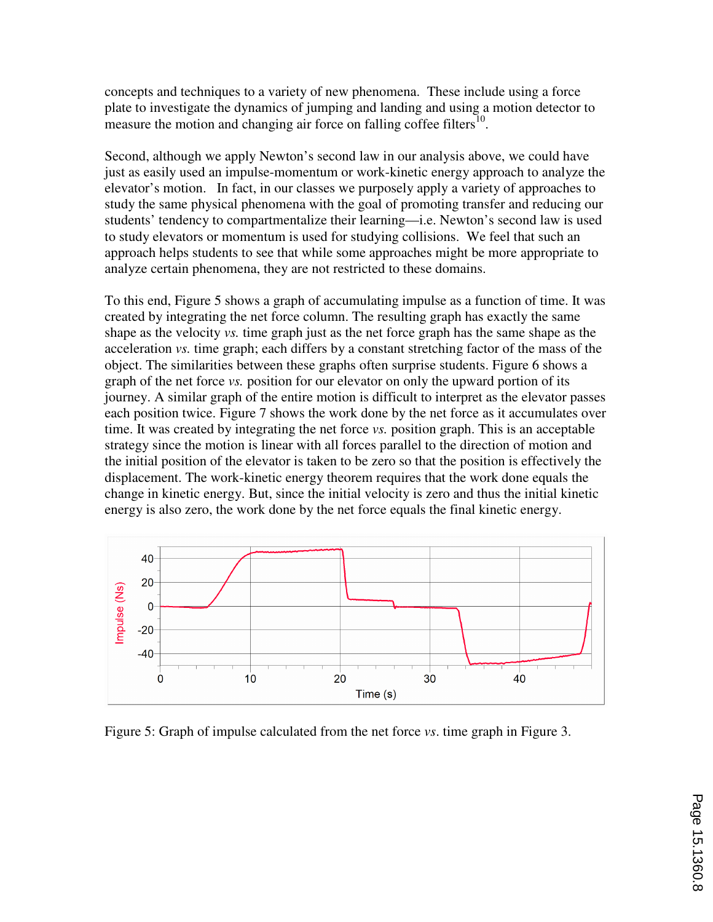concepts and techniques to a variety of new phenomena. These include using a force plate to investigate the dynamics of jumping and landing and using a motion detector to measure the motion and changing air force on falling coffee filters<sup>10</sup>.

Second, although we apply Newton's second law in our analysis above, we could have just as easily used an impulse-momentum or work-kinetic energy approach to analyze the elevator's motion. In fact, in our classes we purposely apply a variety of approaches to study the same physical phenomena with the goal of promoting transfer and reducing our students' tendency to compartmentalize their learning—i.e. Newton's second law is used to study elevators or momentum is used for studying collisions. We feel that such an approach helps students to see that while some approaches might be more appropriate to analyze certain phenomena, they are not restricted to these domains.

To this end, Figure 5 shows a graph of accumulating impulse as a function of time. It was created by integrating the net force column. The resulting graph has exactly the same shape as the velocity *vs.* time graph just as the net force graph has the same shape as the acceleration *vs.* time graph; each differs by a constant stretching factor of the mass of the object. The similarities between these graphs often surprise students. Figure 6 shows a graph of the net force *vs.* position for our elevator on only the upward portion of its journey. A similar graph of the entire motion is difficult to interpret as the elevator passes each position twice. Figure 7 shows the work done by the net force as it accumulates over time. It was created by integrating the net force *vs.* position graph. This is an acceptable strategy since the motion is linear with all forces parallel to the direction of motion and the initial position of the elevator is taken to be zero so that the position is effectively the displacement. The work-kinetic energy theorem requires that the work done equals the change in kinetic energy. But, since the initial velocity is zero and thus the initial kinetic energy is also zero, the work done by the net force equals the final kinetic energy.



Figure 5: Graph of impulse calculated from the net force *vs*. time graph in Figure 3.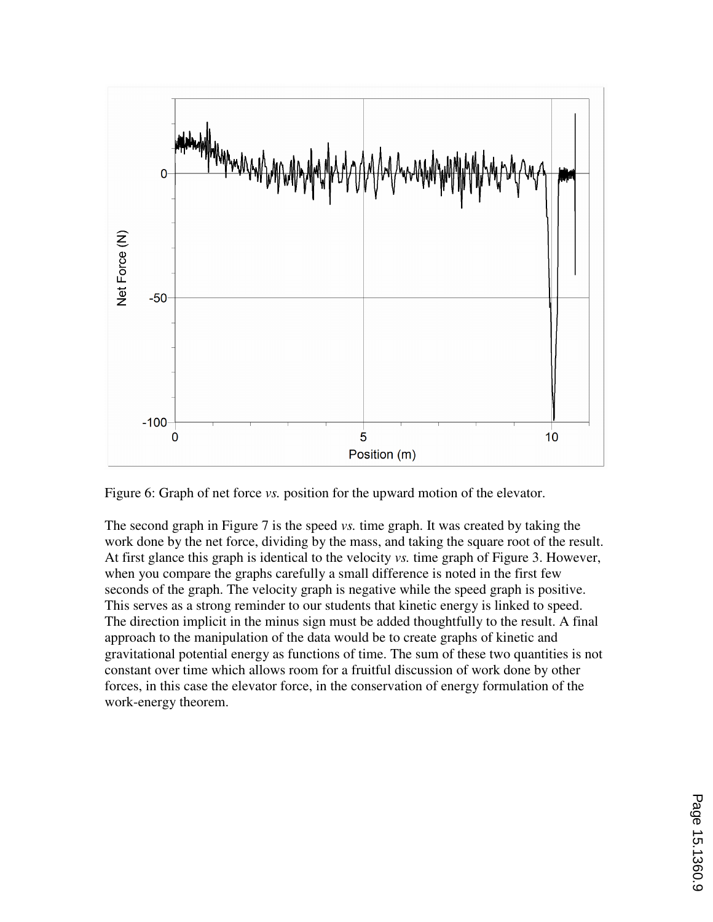

Figure 6: Graph of net force *vs.* position for the upward motion of the elevator.

The second graph in Figure 7 is the speed *vs.* time graph. It was created by taking the work done by the net force, dividing by the mass, and taking the square root of the result. At first glance this graph is identical to the velocity *vs.* time graph of Figure 3. However, when you compare the graphs carefully a small difference is noted in the first few seconds of the graph. The velocity graph is negative while the speed graph is positive. This serves as a strong reminder to our students that kinetic energy is linked to speed. The direction implicit in the minus sign must be added thoughtfully to the result. A final approach to the manipulation of the data would be to create graphs of kinetic and gravitational potential energy as functions of time. The sum of these two quantities is not constant over time which allows room for a fruitful discussion of work done by other forces, in this case the elevator force, in the conservation of energy formulation of the work-energy theorem.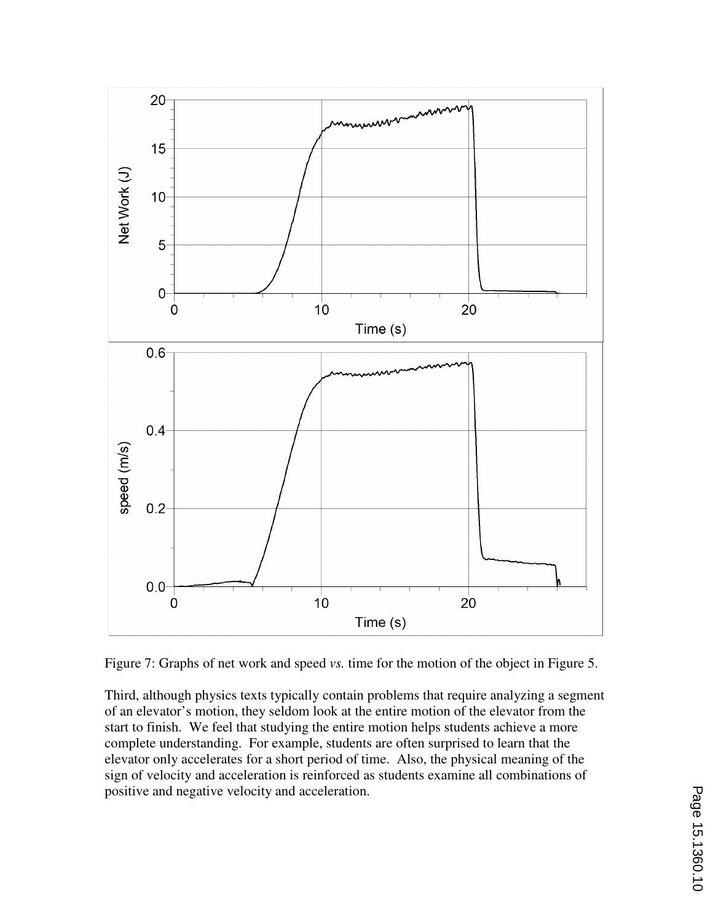

Figure 7: Graphs of net work and speed *vs.* time for the motion of the object in Figure 5.

Third, although physics texts typically contain problems that require analyzing a segment of an elevator's motion, they seldom look at the entire motion of the elevator from the start to finish. We feel that studying the entire motion helps students achieve a more complete understanding. For example, students are often surprised to learn that the elevator only accelerates for a short period of time. Also, the physical meaning of the sign of velocity and acceleration is reinforced as students examine all combinations of positive and negative velocity and acceleration.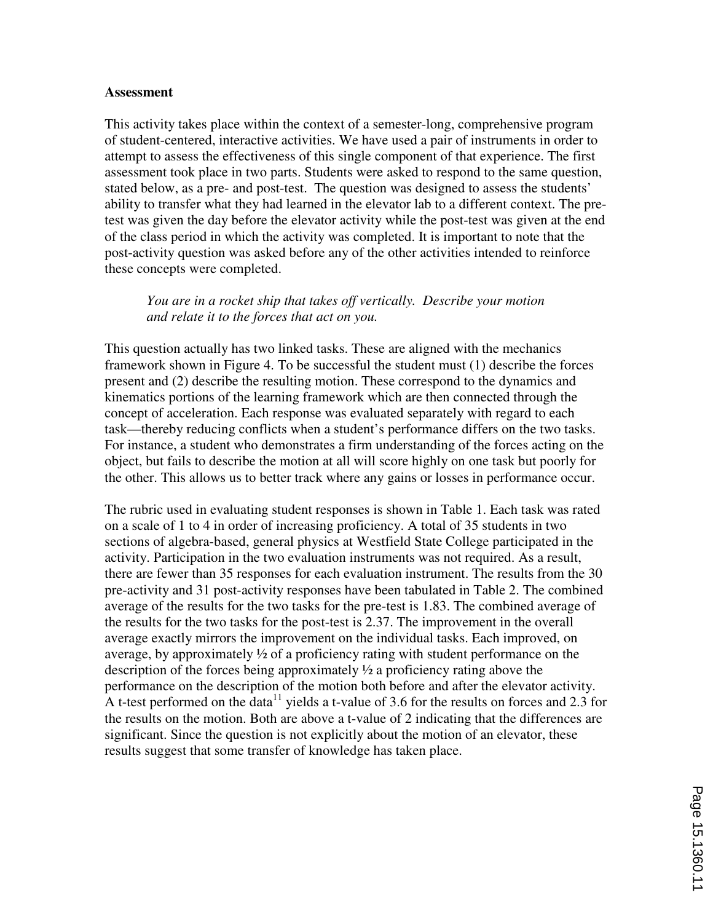#### **Assessment**

This activity takes place within the context of a semester-long, comprehensive program of student-centered, interactive activities. We have used a pair of instruments in order to attempt to assess the effectiveness of this single component of that experience. The first assessment took place in two parts. Students were asked to respond to the same question, stated below, as a pre- and post-test. The question was designed to assess the students' ability to transfer what they had learned in the elevator lab to a different context. The pretest was given the day before the elevator activity while the post-test was given at the end of the class period in which the activity was completed. It is important to note that the post-activity question was asked before any of the other activities intended to reinforce these concepts were completed.

*You are in a rocket ship that takes off vertically. Describe your motion and relate it to the forces that act on you.* 

This question actually has two linked tasks. These are aligned with the mechanics framework shown in Figure 4. To be successful the student must (1) describe the forces present and (2) describe the resulting motion. These correspond to the dynamics and kinematics portions of the learning framework which are then connected through the concept of acceleration. Each response was evaluated separately with regard to each task—thereby reducing conflicts when a student's performance differs on the two tasks. For instance, a student who demonstrates a firm understanding of the forces acting on the object, but fails to describe the motion at all will score highly on one task but poorly for the other. This allows us to better track where any gains or losses in performance occur.

The rubric used in evaluating student responses is shown in Table 1. Each task was rated on a scale of 1 to 4 in order of increasing proficiency. A total of 35 students in two sections of algebra-based, general physics at Westfield State College participated in the activity. Participation in the two evaluation instruments was not required. As a result, there are fewer than 35 responses for each evaluation instrument. The results from the 30 pre-activity and 31 post-activity responses have been tabulated in Table 2. The combined average of the results for the two tasks for the pre-test is 1.83. The combined average of the results for the two tasks for the post-test is 2.37. The improvement in the overall average exactly mirrors the improvement on the individual tasks. Each improved, on average, by approximately  $\frac{1}{2}$  of a proficiency rating with student performance on the description of the forces being approximately  $\frac{1}{2}$  a proficiency rating above the performance on the description of the motion both before and after the elevator activity. A t-test performed on the data<sup>11</sup> yields a t-value of 3.6 for the results on forces and 2.3 for the results on the motion. Both are above a t-value of 2 indicating that the differences are significant. Since the question is not explicitly about the motion of an elevator, these results suggest that some transfer of knowledge has taken place.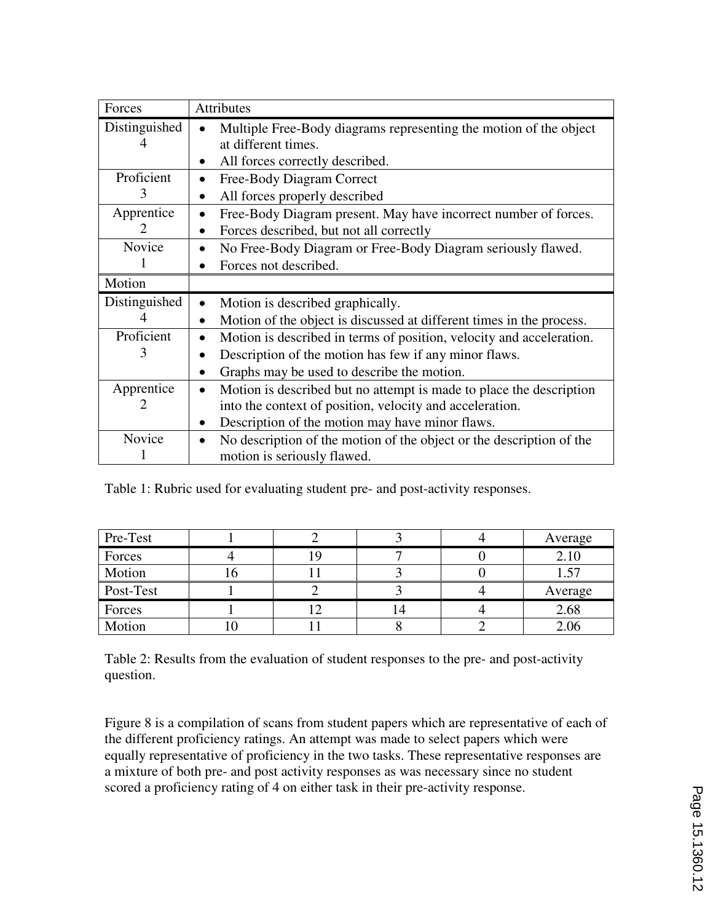| Forces                      | <b>Attributes</b>                                                                                                |
|-----------------------------|------------------------------------------------------------------------------------------------------------------|
| Distinguished               | Multiple Free-Body diagrams representing the motion of the object                                                |
|                             | at different times.                                                                                              |
|                             | All forces correctly described.                                                                                  |
| Proficient                  | Free-Body Diagram Correct                                                                                        |
| 3                           | All forces properly described                                                                                    |
| Apprentice                  | Free-Body Diagram present. May have incorrect number of forces.                                                  |
| $\mathcal{D}_{\mathcal{L}}$ | Forces described, but not all correctly                                                                          |
| <b>Novice</b>               | No Free-Body Diagram or Free-Body Diagram seriously flawed.                                                      |
|                             | Forces not described.                                                                                            |
| Motion                      |                                                                                                                  |
| Distinguished               | Motion is described graphically.                                                                                 |
|                             | Motion of the object is discussed at different times in the process.                                             |
| Proficient                  | Motion is described in terms of position, velocity and acceleration.<br>$\bullet$                                |
| 3                           | Description of the motion has few if any minor flaws.                                                            |
|                             | Graphs may be used to describe the motion.                                                                       |
| Apprentice                  | Motion is described but no attempt is made to place the description                                              |
|                             | into the context of position, velocity and acceleration.                                                         |
|                             | Description of the motion may have minor flaws.                                                                  |
| Novice                      | No description of the motion of the object or the description of the<br>$\bullet$<br>motion is seriously flawed. |

Table 1: Rubric used for evaluating student pre- and post-activity responses.

| Pre-Test  |  |  | Average |  |
|-----------|--|--|---------|--|
| Forces    |  |  | 2.10    |  |
| Motion    |  |  | 1.57    |  |
| Post-Test |  |  | Average |  |
| Forces    |  |  | 2.68    |  |
| Motion    |  |  | 2.06    |  |

Table 2: Results from the evaluation of student responses to the pre- and post-activity question.

Figure 8 is a compilation of scans from student papers which are representative of each of the different proficiency ratings. An attempt was made to select papers which were equally representative of proficiency in the two tasks. These representative responses are a mixture of both pre- and post activity responses as was necessary since no student scored a proficiency rating of 4 on either task in their pre-activity response.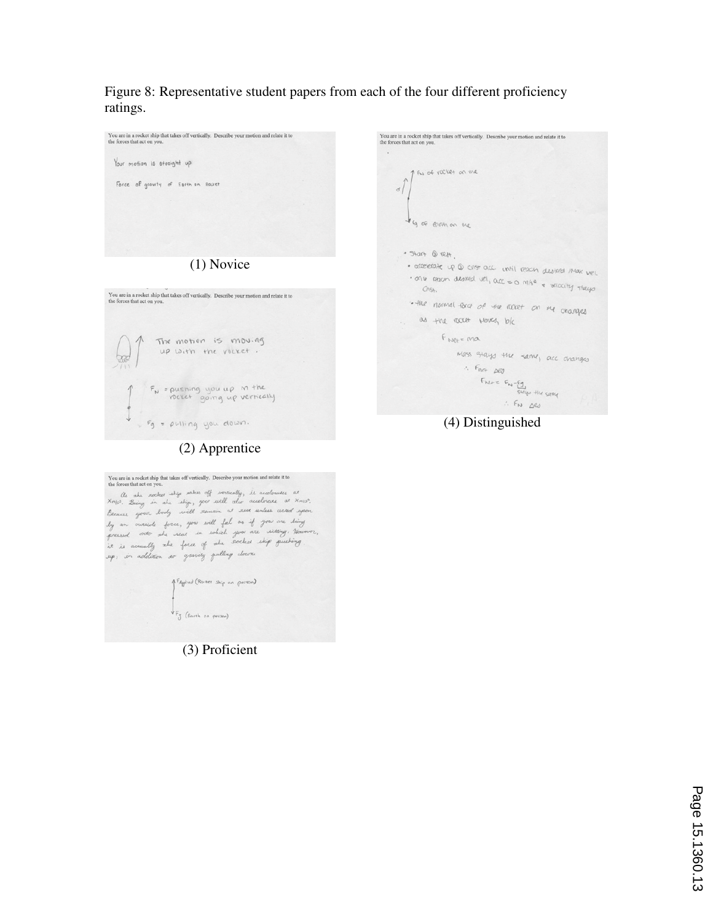Figure 8: Representative student papers from each of the four different proficiency ratings.



You are in a rocket ship that takes off vertically. Describe your motion and relate it to the forces that act on you.  $\,$  ,  $\,$ 1 FW of racket on the  $\sqrt{2}$ I ag of carsh on me  $\bullet$  start  $\odot$  rest. · accelerate up @ cint acc. until reach destred max well . The reach desired vel, acc = 0 m/s<sup>e</sup> + velocity stays<br>Chist. Chist.  $Cns.$ . the normal force of the acter on me changes as the rootet woves, b/c FNet= ma mass stays the same, acc changes  $\therefore$  Fret peo Fine  $20$ <br>Fine =  $F_w - \underbrace{F_0}_{s \leq a \leq w}$  the same<br> $\therefore$  Fin  $\triangle 0$  $\therefore$  FN  $\triangle$ es

(4) Distinguished

(2) Apprentice

You are in a rocket ship that takes off vertically. Describe your motion and relate it to the forces that act on you. New area were not the same of write they is accelerated at the content of the content of the content of the content of the content of the content of the content of the content of the content of the content of the content o Because your body will remain of reset unless cicked system<br>by an oriented force, you will ful as if you are diding<br>pressed order she wear in wheel you are willing, Because<br>it is accually whe force of she sooked ship pushi

1 FAgglied (Rocher ship on person) VFg (Earth on person)

(3) Proficient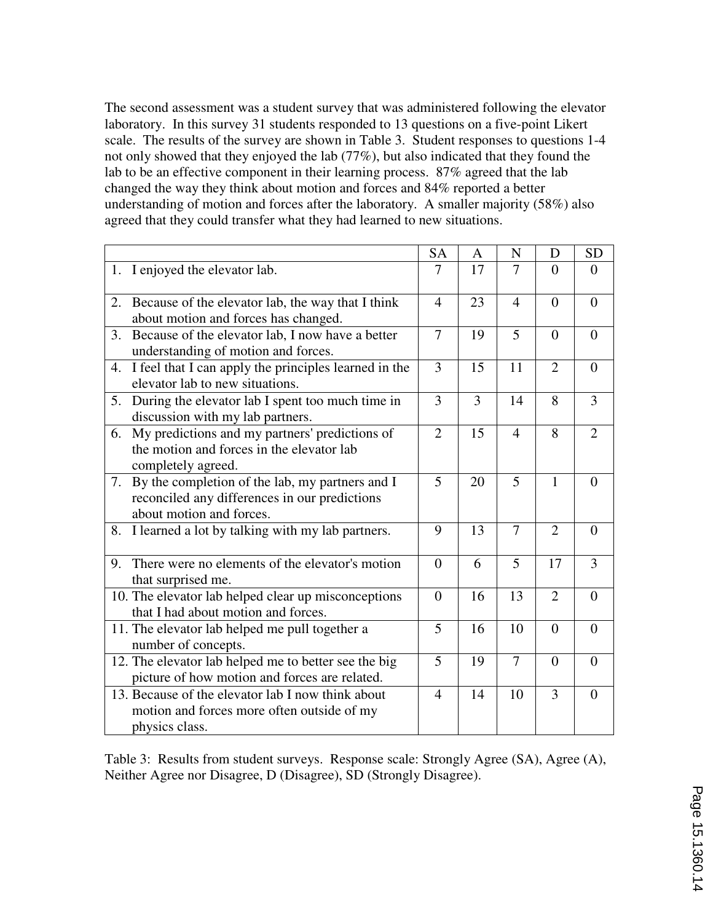The second assessment was a student survey that was administered following the elevator laboratory. In this survey 31 students responded to 13 questions on a five-point Likert scale. The results of the survey are shown in Table 3. Student responses to questions 1-4 not only showed that they enjoyed the lab (77%), but also indicated that they found the lab to be an effective component in their learning process. 87% agreed that the lab changed the way they think about motion and forces and 84% reported a better understanding of motion and forces after the laboratory. A smaller majority (58%) also agreed that they could transfer what they had learned to new situations.

|                                                     |                                                       | <b>SA</b>      | A  | N              | D              | <b>SD</b>      |
|-----------------------------------------------------|-------------------------------------------------------|----------------|----|----------------|----------------|----------------|
|                                                     | 1. I enjoyed the elevator lab.                        | 7              | 17 | 7              | $\Omega$       | $\Omega$       |
| 2.                                                  | Because of the elevator lab, the way that I think     | $\overline{4}$ | 23 | $\overline{4}$ | $\theta$       | $\overline{0}$ |
|                                                     | about motion and forces has changed.                  |                |    |                |                |                |
| 3.                                                  | Because of the elevator lab, I now have a better      | $\overline{7}$ | 19 | 5              | $\theta$       | $\overline{0}$ |
|                                                     | understanding of motion and forces.                   |                |    |                |                |                |
| 4.                                                  | I feel that I can apply the principles learned in the | 3              | 15 | 11             | $\overline{2}$ | $\overline{0}$ |
|                                                     | elevator lab to new situations.                       |                |    |                |                |                |
| 5.                                                  | During the elevator lab I spent too much time in      | 3              | 3  | 14             | 8              | 3              |
|                                                     | discussion with my lab partners.                      |                |    |                |                |                |
| 6.                                                  | My predictions and my partners' predictions of        | $\overline{2}$ | 15 | $\overline{4}$ | 8              | $\overline{2}$ |
|                                                     | the motion and forces in the elevator lab             |                |    |                |                |                |
|                                                     | completely agreed.                                    |                |    |                |                |                |
| 7.                                                  | By the completion of the lab, my partners and I       | 5              | 20 | 5              | $\mathbf{1}$   | $\theta$       |
|                                                     | reconciled any differences in our predictions         |                |    |                |                |                |
|                                                     | about motion and forces.                              |                |    |                |                |                |
| 8.                                                  | I learned a lot by talking with my lab partners.      | 9              | 13 | 7              | $\overline{2}$ | $\overline{0}$ |
| 9.                                                  | There were no elements of the elevator's motion       | $\overline{0}$ | 6  | 5              | 17             | 3              |
|                                                     | that surprised me.                                    |                |    |                |                |                |
| 10. The elevator lab helped clear up misconceptions |                                                       | $\overline{0}$ | 16 | 13             | $\overline{2}$ | $\overline{0}$ |
|                                                     | that I had about motion and forces.                   |                |    |                |                |                |
|                                                     | 11. The elevator lab helped me pull together a        | 5              | 16 | 10             | $\Omega$       | $\theta$       |
|                                                     | number of concepts.                                   |                |    |                |                |                |
|                                                     | 12. The elevator lab helped me to better see the big  |                | 19 | 7              | $\theta$       | $\overline{0}$ |
| picture of how motion and forces are related.       |                                                       | 5              |    |                |                |                |
| 13. Because of the elevator lab I now think about   |                                                       | $\overline{4}$ | 14 | 10             | 3              | $\theta$       |
| motion and forces more often outside of my          |                                                       |                |    |                |                |                |
|                                                     | physics class.                                        |                |    |                |                |                |
|                                                     |                                                       |                |    |                |                |                |

Table 3: Results from student surveys. Response scale: Strongly Agree (SA), Agree (A), Neither Agree nor Disagree, D (Disagree), SD (Strongly Disagree).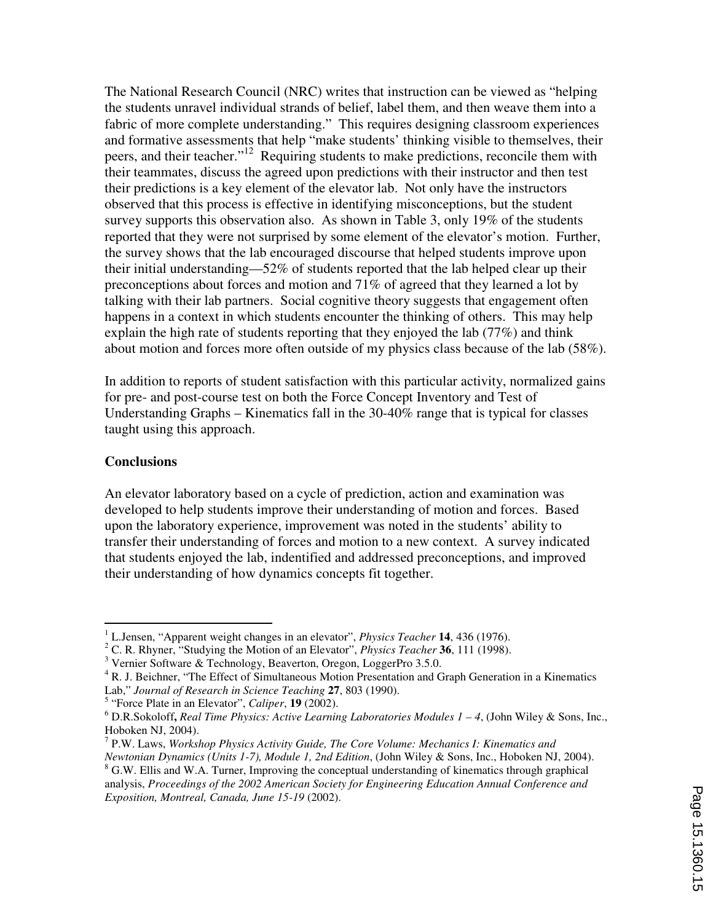The National Research Council (NRC) writes that instruction can be viewed as "helping the students unravel individual strands of belief, label them, and then weave them into a fabric of more complete understanding." This requires designing classroom experiences and formative assessments that help "make students' thinking visible to themselves, their peers, and their teacher."<sup>12</sup> Requiring students to make predictions, reconcile them with their teammates, discuss the agreed upon predictions with their instructor and then test their predictions is a key element of the elevator lab. Not only have the instructors observed that this process is effective in identifying misconceptions, but the student survey supports this observation also. As shown in Table 3, only 19% of the students reported that they were not surprised by some element of the elevator's motion. Further, the survey shows that the lab encouraged discourse that helped students improve upon their initial understanding—52% of students reported that the lab helped clear up their preconceptions about forces and motion and 71% of agreed that they learned a lot by talking with their lab partners. Social cognitive theory suggests that engagement often happens in a context in which students encounter the thinking of others. This may help explain the high rate of students reporting that they enjoyed the lab (77%) and think about motion and forces more often outside of my physics class because of the lab (58%).

In addition to reports of student satisfaction with this particular activity, normalized gains for pre- and post-course test on both the Force Concept Inventory and Test of Understanding Graphs – Kinematics fall in the 30-40% range that is typical for classes taught using this approach.

#### **Conclusions**

 $\overline{a}$ 

An elevator laboratory based on a cycle of prediction, action and examination was developed to help students improve their understanding of motion and forces. Based upon the laboratory experience, improvement was noted in the students' ability to transfer their understanding of forces and motion to a new context. A survey indicated that students enjoyed the lab, indentified and addressed preconceptions, and improved their understanding of how dynamics concepts fit together.

5 "Force Plate in an Elevator", *Caliper*, **19** (2002).

<sup>1</sup> L.Jensen, "Apparent weight changes in an elevator", *Physics Teacher* **14**, 436 (1976).

<sup>2</sup> C. R. Rhyner, "Studying the Motion of an Elevator", *Physics Teacher* **36**, 111 (1998).

<sup>&</sup>lt;sup>3</sup> Vernier Software & Technology, Beaverton, Oregon, LoggerPro 3.5.0.

<sup>&</sup>lt;sup>4</sup> R. J. Beichner, "The Effect of Simultaneous Motion Presentation and Graph Generation in a Kinematics Lab," *Journal of Research in Science Teaching* **27**, 803 (1990).

<sup>6</sup> D.R.Sokoloff**,** *Real Time Physics: Active Learning Laboratories Modules 1 – 4*, (John Wiley & Sons, Inc., Hoboken NJ, 2004).

<sup>7</sup> P.W. Laws, *Workshop Physics Activity Guide, The Core Volume: Mechanics I: Kinematics and Newtonian Dynamics (Units 1-7), Module 1, 2nd Edition*, (John Wiley & Sons, Inc., Hoboken NJ, 2004). <sup>8</sup> G.W. Ellis and W.A. Turner, Improving the conceptual understanding of kinematics through graphical analysis, *Proceedings of the 2002 American Society for Engineering Education Annual Conference and Exposition, Montreal, Canada, June 15-19* (2002).